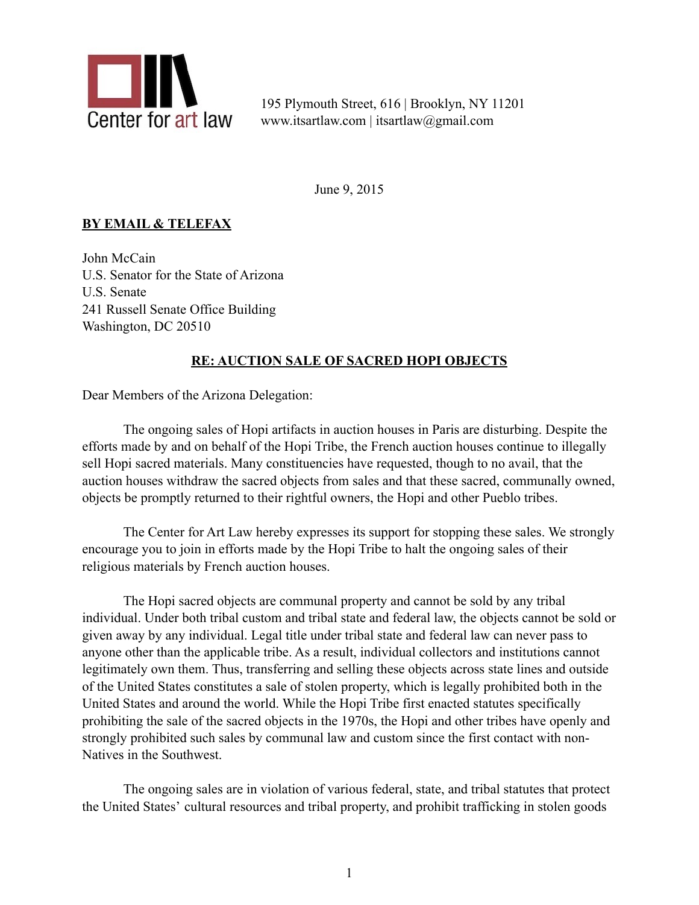

195 Plymouth Street, 616 | Brooklyn, NY 11201 www.itsartlaw.com | itsartlaw@gmail.com

June 9, 2015

## **BY EMAIL & TELEFAX**

John McCain U.S. Senator for the State of Arizona U.S. Senate 241 Russell Senate Office Building Washington, DC 20510

## **RE: AUCTION SALE OF SACRED HOPI OBJECTS**

Dear Members of the Arizona Delegation:

The ongoing sales of Hopi artifacts in auction houses in Paris are disturbing. Despite the efforts made by and on behalf of the Hopi Tribe, the French auction houses continue to illegally sell Hopi sacred materials. Many constituencies have requested, though to no avail, that the auction houses withdraw the sacred objects from sales and that these sacred, communally owned, objects be promptly returned to their rightful owners, the Hopi and other Pueblo tribes.

 The Center for Art Law hereby expresses its support for stopping these sales. We strongly encourage you to join in efforts made by the Hopi Tribe to halt the ongoing sales of their religious materials by French auction houses.

The Hopi sacred objects are communal property and cannot be sold by any tribal individual. Under both tribal custom and tribal state and federal law, the objects cannot be sold or given away by any individual. Legal title under tribal state and federal law can never pass to anyone other than the applicable tribe. As a result, individual collectors and institutions cannot legitimately own them. Thus, transferring and selling these objects across state lines and outside of the United States constitutes a sale of stolen property, which is legally prohibited both in the United States and around the world. While the Hopi Tribe first enacted statutes specifically prohibiting the sale of the sacred objects in the 1970s, the Hopi and other tribes have openly and strongly prohibited such sales by communal law and custom since the first contact with non-Natives in the Southwest.

The ongoing sales are in violation of various federal, state, and tribal statutes that protect the United States' cultural resources and tribal property, and prohibit trafficking in stolen goods